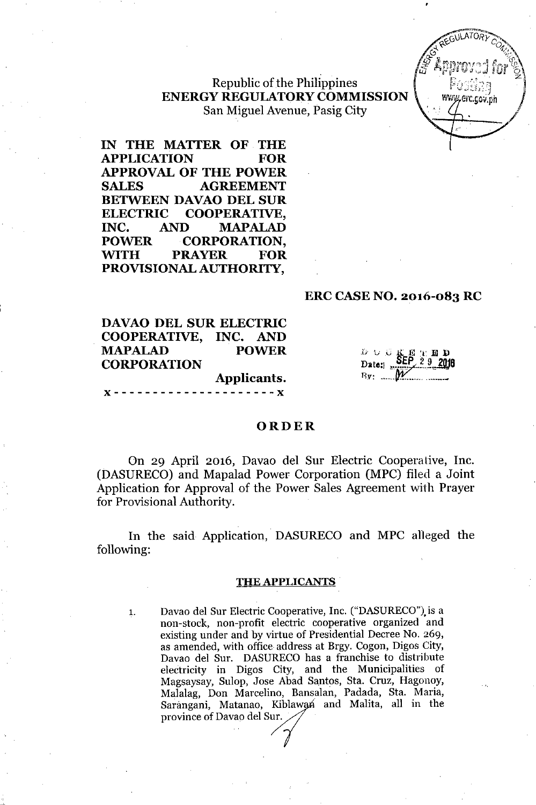Republic of the Philippines ENERGY REGULATORYCOMMISSION San Miguel Avenue, Pasig City



IN THE MATTER OF THE APPLICATION FOR APPROVAL OF THE POWER SALES AGREEMENT BETWEEN DAVAO DEL SUR ELECTRIC COOPERATIVE, INC. AND MAPALAD POWER CORPORATION. ~TH PRAYER FOR PROVISIONAL AUTHORITY,

### ERC CASE NO. 2016-083 RC

| <b>DAVAO DEL SUR ELECTRIC</b> |              |
|-------------------------------|--------------|
| COOPERATIVE, INC. AND         |              |
| <b>MAPALAD</b>                | <b>POWER</b> |
| <b>CORPORATION</b>            |              |
|                               | Applicants.  |
|                               |              |

|  |             |  | $\frac{D}{D}$ $\cup$ $G$ $\underset{M \rightarrow \infty}{K}$ $E$ $\underset{Q}{P}$ $E$ $D$ $D$ $D$ $D$ $E$ $E$ $\underset{M \rightarrow \infty}{P}$ $E$ $\underset{Q}{P}$ $E$ $D$ $D$ $D$ $D$ |
|--|-------------|--|------------------------------------------------------------------------------------------------------------------------------------------------------------------------------------------------|
|  | $By: \dots$ |  |                                                                                                                                                                                                |

## ORDER

On 29 April 2016, Davao del Sur Electric Cooperative, Inc. (DASURECO) and Mapalad Power Corporation (MPC) filed a Joint Application for Approval of the Power Sales Agreement with Prayer for Provisional Authority.

In the said Application, DASURECO and MPC alleged the following:

#### THE APPLICANTS

.~.\_--

1. Davao del Sur Electric Cooperative, Inc. ("DASURECO").is a non-stock, non-profit electric cooperative organized and existing under and by virtue of Presidential Decree No. 269, as amended, with office address at Brgy. Cogon, Digos City, Davao del Sur. DASURECO has a franchise to distribute electricity in Digos City, and the Municipalities of Magsaysay, Sulop, Jose Abad Santos, Sta. Cruz, Hagonoy, Malalag, Don Marcelino, Bansalan, Padada, Sta. Maria, Sarangani, Matanao, Kiblawan and Malita, all in the province of Davao del Sur.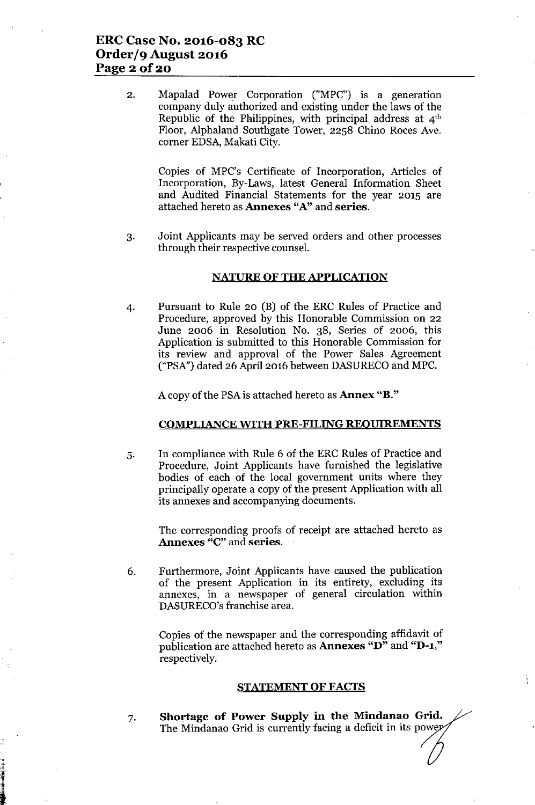2. Mapalad Power Corporation ("MPC") is a generation company duly authorized and existing under the laws of the Republic of the Philippines, with principal address at  $4<sup>th</sup>$ Floor, Alphaland Southgate Tower, 2258 Chino Roces Ave. corner EDSA, Makati City.

Copies of MPC's Certificate of Incorporation, Articles of Incorporation, By-Laws, latest General Information Sheet and Audited Financial Statements for the year 2015 are attached hereto as Annexes "A" and series.

3. Joint Applicants may be served orders and other processes through their respective counsel.

### NATURE OF THE APPLICATION

4. Pursuant to Rule 20 (B) of the ERC Rules of Practice and Procedure, approved by this Honorable Commission on 22 June 2006 in Resolution No. 38, Series of 2006, this Application is submitted to this Honorable Commission for its review and approval of the Power Sales Agreement ("PSA") dated 26 April 2016 between DASURECO and MPC.

A copy of the PSA is attached hereto as **Annex** "**B**."

### COMPLIANCE WITH PRE-FILING REOUIREMENTS

5. In compliance with Rule 6 of the ERC Rules of Practice and Procedure, Joint Applicants have furnished the legislative bodies of each of the local government units where they principally operate a copy of the present Application with all its annexes and accompanying documents.

The corresponding proofs of receipt are attached hereto as Annexes "C" and series.

6. Furthermore, Joint Applicants have caused the publication of the present Application in its entirety, excluding its annexes, in a newspaper of general circulation within DASURECO's franchise area.

Copies of the newspaper and the corresponding affidavit of publication are attached hereto as **Annexes "D"** and "D-1," respectively.

#### STATEMENT OF FACTS

7. Shortage of Power SnppIy in the Mindanao Grid. The Mindanao Grid is currently facing a deficit in its powe

"

 $-3.44$   $-3.44$   $-3.44$   $-3.44$   $-3.44$   $-3.44$   $-3.44$   $-3.44$   $-3.44$   $-3.44$   $-3.44$   $-3.44$   $-3.44$   $-3.44$   $-3.44$   $-3.44$   $-3.44$   $-3.44$   $-3.44$   $-3.44$   $-3.44$   $-3.44$   $-3.44$   $-3.44$   $-3.44$   $-3.44$   $-3.44$   $-3.4$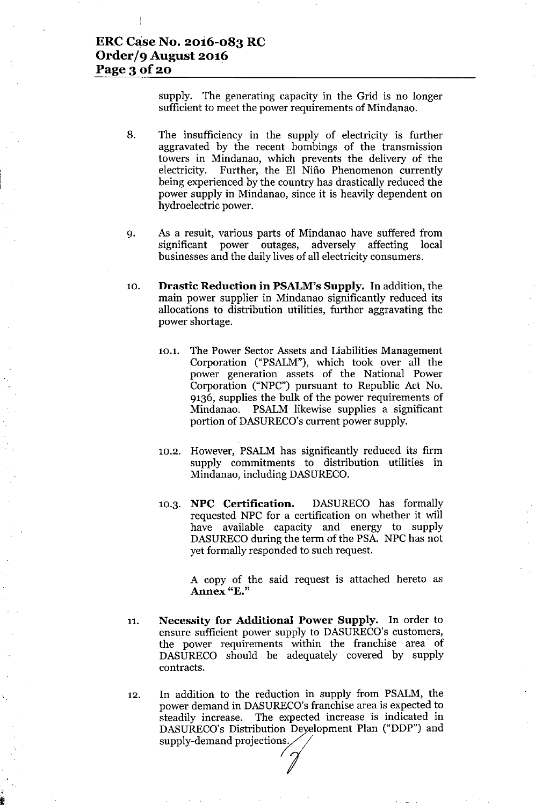supply. The generating capacity in the Grid is no longer sufficient to meet the power requirements of Mindanao.

- 8. The insufficiency in the supply of electricity is further aggravated by the recent bombings of the transmission towers in Mindanao, which prevents the delivery of the electricity. Further, the EI Nifio Phenomenon currently being experienced by the country has drastically reduced the power supply in Mindanao, since it is heavily dependent on hydroelectric power.
- 9. As a result, various parts of Mindanao have suffered from significant power outages, adversely affecting local businesses and the daily lives of all electricity consumers.
- 10. **Drastic Reduction in PSALM's Supply.** In addition, the main power supplier in Mindanao significantly reduced its allocations to distribution utilities, further aggravating the power shortage.
	- 10.1. The Power Sector Assets and Liabilities Management Corporation ("PSALM"), which took over all the power generation assets of the National Power Corporation ("NPC") pursuant to Republic Act No. 9136, supplies the bulk of the power requirements of Mindanao. PSALM likewise supplies a significant portion of DASURECO's current power supply.
	- 10.2. However, PSALM has significantly reduced its firm supply commitments to distribution utilities in Mindanao, including DASURECO.
	- 10.3. **NPC Certification.** DASURECO has formally requested NPC for a certification on whether it will have available capacity and energy to supply DASURECO during the term of the PSA. NPC has not yet formally responded to such request.

A copy of the said request is attached hereto as **Annex** "E."

- 11. **Necessity for Additional Power Supply.** In order to ensure sufficient power supply to DASURECO's customers, the power requirements within the franchise area of DASURECO should be adequately covered by supply contracts.
- 12. In addition to the reduction in supply from PSALM, the power demand in DASURECO's franchise area is expected to steadily increase. The expected increase is indicated in DASURECO's Distribution Development Plan ("DDP") and supply-demand projections.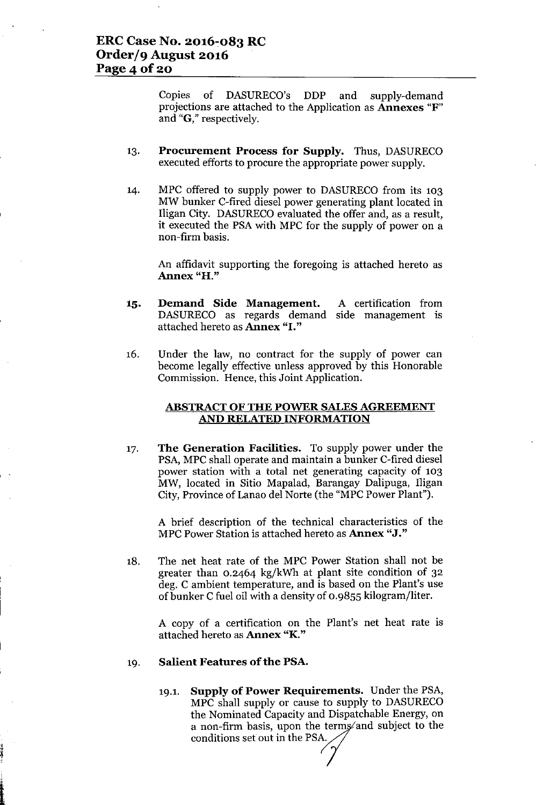Copies of DASURECO's DDP and supply-demand projections are attached to the Application as Annexes "F" and "G," respectively.

- 13. Procurement Process for Supply. Thus, DASURECO executed efforts to procure the appropriate power supply.
- 14. MPC offered to supply power to DASURECO from its 103 MW bunker C-fired diesel power generating plant located in Iligan City. DASURECO evaluated the offer and, as a result, it executed the PSA with MPC for the supply of power on a non-firm basis.

An affidavit supporting the foregoing is attached hereto as Annex "H."

- 15. Demand Side Management. DASURECO as regards demand side management is attached hereto as Annex "I." A certification from
- 16. Under the law, no contract for the supply of power can become legally effective unless approved by this Honorable Commission. Hence, this Joint Application.

### ABSTRACT OF THE POWER SALES AGREEMENT AND RELATED INFORMATION

17. The Generation Facilities. To supply power under the PSA, MPC shall operate and maintain a bunker C-fired diesel power station with a total net generating capacity of 103 MW, located in Sitio Mapalad, Barangay Dalipuga, Iligan City, Province of Lanao del Norte (the "MPC Power Plant").

A brief description of the technical characteristics of the MPC Power Station is attached hereto as **Annex "J."** 

18. The net heat rate of the MPC Power Station shall not be greater than 0.2464 kg/kWh at plant site condition of 32 deg. C ambient temperature, and is based on the Plant's use of bunker Cfuel oil with a density of 0.9855 kilogram/liter.

A copy of a certification on the Plant's net heat rate is attached hereto as Annex "K."

#### 19. Salient Features of the PSA.

,I - 前端編集会 19.1. Supply of Power Requirements. Under the PSA, MPC shall supply or cause to supply to DASURECO the Nominated Capacity and Dispatchable Energy, on a non-firm basis, upon the terms and subject to the conditions set out in the PSA.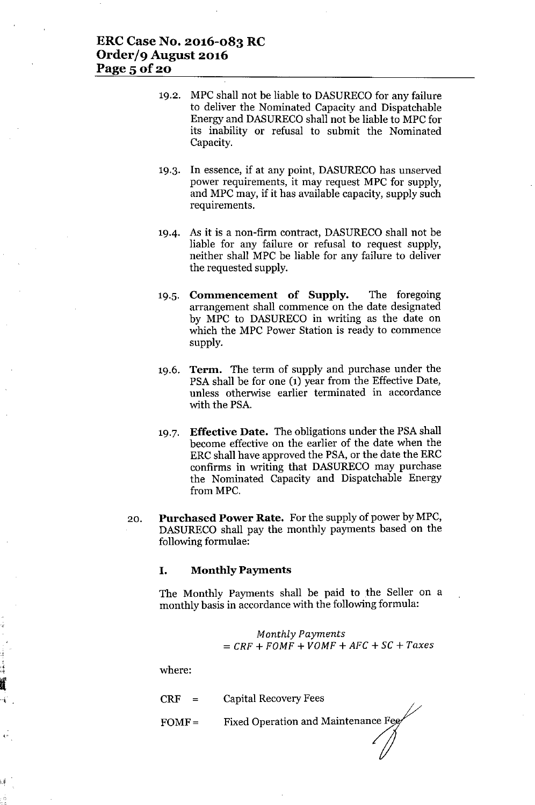- 19.2. MPC shall not be liable to DASURECO for any failure to deliver the Nominated Capacity and Dispatchable Energy and DASURECOshall not be liable to MPC for its inability or refusal to submit the Nominated Capacity.
- 19.3. **In** essence, if at any point, DASURECO has unserved power requirements, it may request MPC for supply, and MPC may, if it has available capacity, supply such requirements.
- 19-4. AB it is a non-firm contract, DASURECO shall not be liable for any failure or refusal to request supply, neither shall MPC be liable for any failure to deliver the requested supply.
- 19.5. **Commencement of Supply.** The foregoing arrangement shall commence on the date designated by MPC to DASURECO in writing as the date on which the MPC Power Station is ready to commence supply.
- 19.6. **Term.** The term of supply and purchase under the PSA shall be for one (1) year from the Effective Date, unless otherwise earlier terminated in accordance with the PSA.
- 19.7. **Effective Date.** The obligations under the PSA shall become effective on the earlier of the date when the ERC shall have approved the PSA, or the date the ERC confirms in writing that DASURECO may purchase the Nominated Capacity and Dispatchable Energy from MPC.
- 20. **Purchased Power Rate.** For the supply of power by MPC, DASURECO shall pay the monthly payments based on the following formulae:

#### **I. Monthly Payments**

The Monthly Payments shall be paid to the Seller on a monthly basis in accordance with the following formula:

$$
Monthly Payments = CRF + FOMF + VOMF + AFC + SC + Taxes
$$

where:

0--1 .

| $\rm CRF$ | <b>Capital Recovery Fees</b> |
|-----------|------------------------------|
|-----------|------------------------------|

 $FOMF =$ Fixed Operation and Maintenance Fee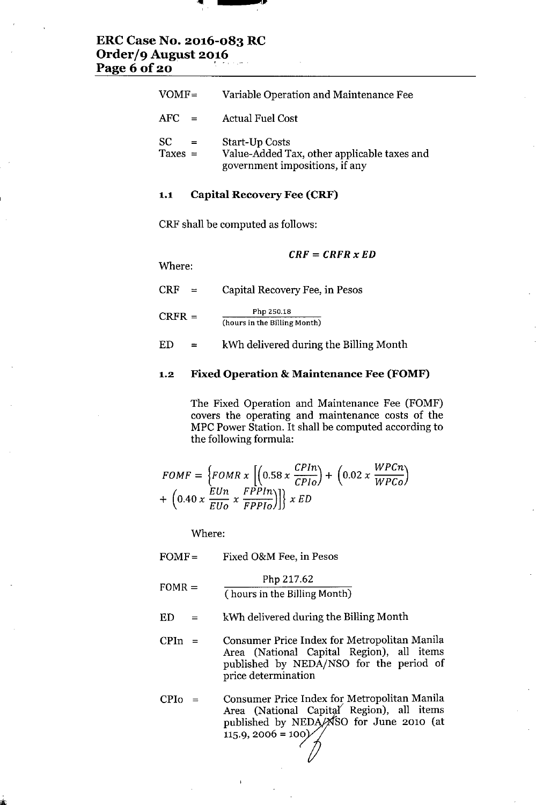

# **ERC Case No. 2016-083 RC Order/9 August 2016 Page 6 of 20 . , '.**

| $VOMF =$                      | Variable Operation and Maintenance Fee                                                                 |
|-------------------------------|--------------------------------------------------------------------------------------------------------|
| AFC.<br>$=$                   | <b>Actual Fuel Cost</b>                                                                                |
| <b>SC</b><br>$=$<br>Taxes $=$ | <b>Start-Up Costs</b><br>Value-Added Tax, other applicable taxes and<br>government impositions, if any |

## **1.1 Capital Recovery Fee (CRF)**

CRF shall be computed as follows:

*CRF* **=** *CRFR x ED*

Where:

 $CRF =$  $CRFR =$ Capital Recovery Fee, in Pesos Php 250.18 **(hours in the Billing Month)**

 $ED =$ kWh delivered during the Billing Month

## **1.2 Fixed Operation & Maintenance Fee (FOMF)**

The Fixed Operation and Maintenance Fee (FOMF) covers the operating and maintenance costs of the MPC Power Station. It shall be computed according to the following formula:

$$
FOMF = \left\{FOMR \times \left[\left(0.58 \times \frac{CPIn}{CPIo}\right) + \left(0.02 \times \frac{WPCn}{WPCo}\right) + \left(0.40 \times \frac{EUn}{EUo} \times \frac{FPPIn}{FPPIo}\right)\right]\right\} \times ED
$$

Where:

| $FOMF =$    | Fixed O&M Fee, in Pesos                                                                                                                                     |
|-------------|-------------------------------------------------------------------------------------------------------------------------------------------------------------|
| $FOMR =$    | Php 217.62<br>(hours in the Billing Month)                                                                                                                  |
| ED<br>$=$   | kWh delivered during the Billing Month                                                                                                                      |
| <b>CPIn</b> | Consumer Price Index for Metropolitan Manila<br>Area (National Capital Region), all items<br>published by NEDA/NSO for the period of<br>price determination |
|             |                                                                                                                                                             |

 $CPIo =$ Consumer Price Index for Metropolitan Manila Area (National Capital Region), all items published by NEDA SO for June 2010 (at  $115.9, 2006 = 100$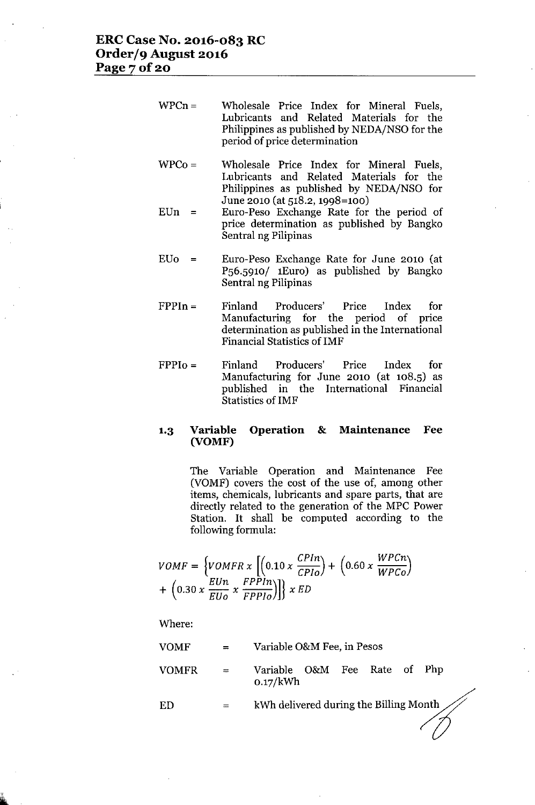- $WPCn=$ Wholesale Price Index for Mineral Fuels, Lubricants and Related Materials for the Philippines as published by NEDA/NSO for the period of price determination
- $WPCo=$ Wholesale Price Index for Mineral Fuels, Lubricants and Related Materials for the Philippines as published by NEDA/NSO for June 2010 (at 518.2,1998=100)
- $EUn =$ Euro-Peso Exchange Rate for the period of price determination as published by Bangko Sentral ng Pilipinas
- *EVo =* Euro-Peso Exchange Rate for June 2010 (at PS6.S91O/ 1Euro) as published by Bangko Sentral ng Pilipinas
- $FPPIn =$ Finland Producers' Price Index for Manufacturing for the period of price determination as published in the International Financial Statistics of IMF
- $FPPI<sub>0</sub> =$ Finland Producers' Price Index for Manufacturing for June 2010 (at 108.5) as published in the International Financial Statistics of IMF

# **1.3 Variable Operation & Maintenance** Fee **(VOMF)**

The Variable Operation and Maintenance Fee (VOMF) covers the cost of the use of, among other items, chemicals, lubricants and spare parts, that are directly related to the generation of the MPC Power Station. It shall be computed according to the following formula:

$$
VOMF = \left\{ VOMFR \times \left[ \left( 0.10 \times \frac{CPIn}{CPIo} \right) + \left( 0.60 \times \frac{WPCn}{WPCo} \right) \right. \right. \\ + \left. \left( 0.30 \times \frac{EUn}{EUo} \times \frac{FPPIn}{FPPIo} \right) \right\} \times ED
$$

Where:

| VOMF  | $=$                       | Variable O&M Fee, in Pesos               |
|-------|---------------------------|------------------------------------------|
| VOMFR | $\mathbf{r} = \mathbf{r}$ | Variable O&M Fee Rate of Php<br>0.17/kWh |
| ED    |                           |                                          |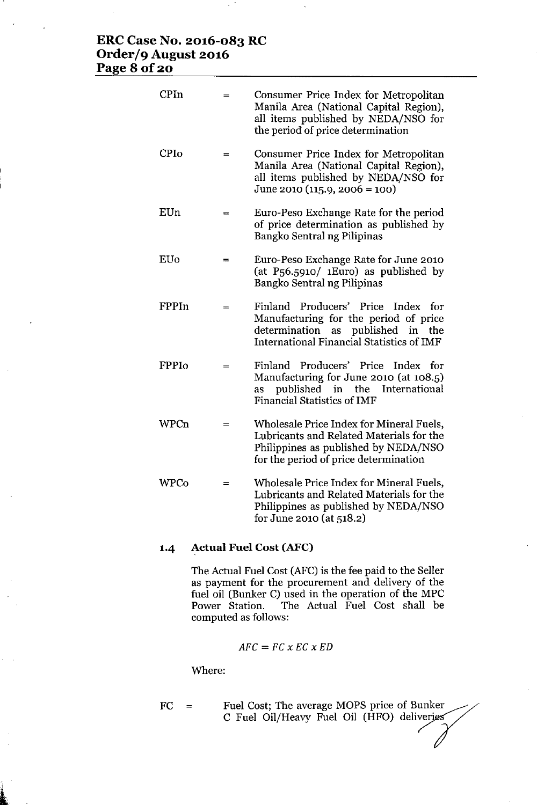# **ERC Case No. 2016-083 RC Order/9 August 2016 Page 8 of 20**

| <b>CPIn</b>  |     | Consumer Price Index for Metropolitan<br>Manila Area (National Capital Region),<br>all items published by NEDA/NSO for<br>the period of price determination                               |
|--------------|-----|-------------------------------------------------------------------------------------------------------------------------------------------------------------------------------------------|
| <b>CPIo</b>  | $=$ | Consumer Price Index for Metropolitan<br>Manila Area (National Capital Region),<br>all items published by NEDA/NSO for<br>June 2010 (115.9, 2006 = 100)                                   |
| EUn          | $=$ | Euro-Peso Exchange Rate for the period<br>of price determination as published by<br>Bangko Sentral ng Pilipinas                                                                           |
| EUo          | $=$ | Euro-Peso Exchange Rate for June 2010<br>(at $P_56.5910/$ 1 Euro) as published by<br>Bangko Sentral ng Pilipinas                                                                          |
| FPPIn        | $=$ | Producers' Price<br>Finland<br>Index<br>tor<br>Manufacturing for the period of price<br>published<br>determination<br>as<br>in<br>the<br><b>International Financial Statistics of IMF</b> |
| <b>FPPIo</b> |     | Finland Producers' Price<br>Index<br>for<br>Manufacturing for June 2010 (at 108.5)<br>published<br>in<br>the<br>International<br>as<br><b>Financial Statistics of IMF</b>                 |
| WPCn         | $=$ | Wholesale Price Index for Mineral Fuels,<br>Lubricants and Related Materials for the<br>Philippines as published by NEDA/NSO<br>for the period of price determination                     |
| WPCo         |     | Wholesale Price Index for Mineral Fuels,<br>Lubricants and Related Materials for the<br>Philippines as published by NEDA/NSO<br>for June 2010 (at 518.2)                                  |

# **1-4 Actual Fuel Cost(AFC)**

The Actual Fuel Cost (AFC) is the fee paid to the Seller as payment for the procurement and delivery of the fuel oil (Bunker C) used in the operation of the MPC Power Station. The Actual Fuel Cost shall be computed as follows:

$$
AFC = FC \times EC \times ED
$$

Where:

 $\mathbf{k}$  and  $\mathbf{k}$ 

| FC. | $\mathbf{r} = \mathbf{r}$ | Fuel Cost; The average MOPS price of Bunker<br>C Fuel Oil/Heavy Fuel Oil (HFO) deliverjes |
|-----|---------------------------|-------------------------------------------------------------------------------------------|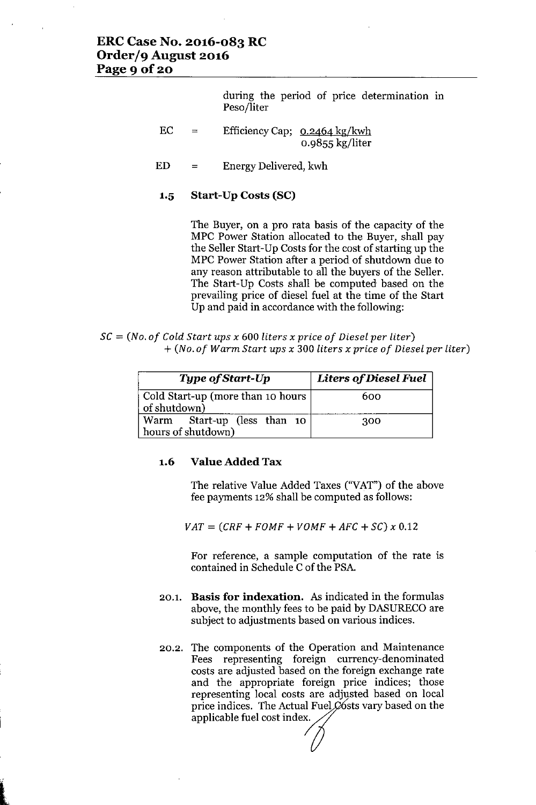during the period of price determination in Peso/liter

- EC. = EfficiencyCap; 0.2464 kg/kwh 0.9855 kg/liter
- ED = Energy Delivered, kwh
- **1.5 Start-Up Costs (SC)**

The Buyer, on a pro rata basis of the capacity of the MPC Power Station allocated to the Buyer, shall pay the Seller Start-Up Costs for the cost of starting up the MPC Power Station after a period of shutdown due to any reason attributable to all the buyers of the Seller. The Start-Up Costs shall be computed based on the prevailing price of diesel fuel at the time of the Start Up and paid in accordance with the following:

SC = *(No. of Cold Start ups x* <sup>600</sup> *liters x price of Diesel per liter) + (No. of Warm Start ups x* 300 *liters x price of Diesel per liter)*

| Type of Start-Up                                  | <b>Liters of Diesel Fuel</b> |
|---------------------------------------------------|------------------------------|
| Cold Start-up (more than 10 hours<br>of shutdown) | 600                          |
| Warm Start-up (less than 10<br>hours of shutdown) | 300                          |

#### **1.6 Value Added Tax**

The relative Value Added Taxes ("VAT") of the above fee payments 12% shall be computed as follows:

 $VAT = (CRF + FOMF + VOMF + AFC + SC) \times 0.12$ 

For reference, a sample computation of the rate is contained in Schedule C of the PSA.

- 20.1. **Basis for indexation.** As indicated in the formulas above, the monthly fees to be paid by DASURECO are subject to adjustments based on various indices.
- 20.2. The components of the Operation and Maintenance Fees representing foreign currency-denominated costs are adjusted based on the foreign exchange rate and the appropriate foreign price indices; those representing local costs are adjusted based on local price indices. The Actual Fuel  $\emptyset$  osts vary based on the applicable fuel cost index.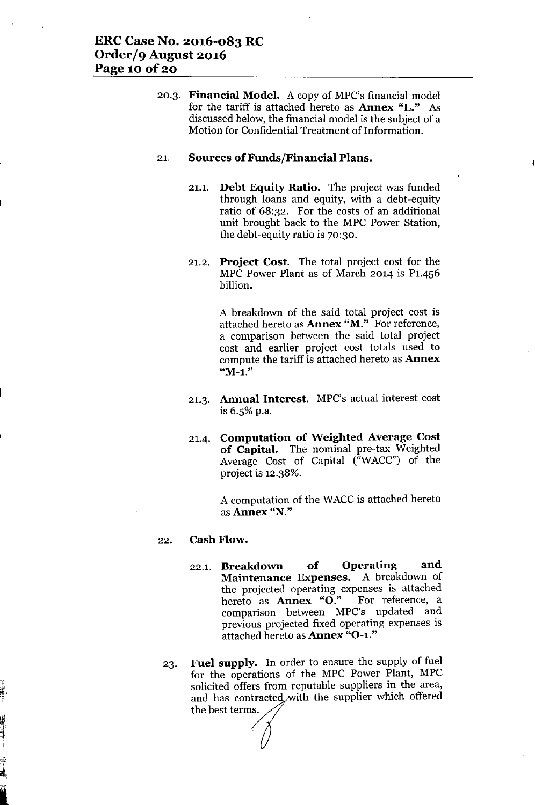20.3. Financial Model. A copy of MPC's financial model for the tariff is attached hereto as Annex "L." As discussed below, the financial model is the subject of a Motion for Confidential Treatment of Information.

#### 21. Sources of Funds/Financial Plans.

- 21.1. Debt Equity Ratio. The project was funded through loans and equity, with a debt-equity ratio of 68:32. For the costs of an additional unit brought back to the MPC Power Station, the debt-equity ratio is 70:30.
- 21.2. Project Cost. The total project cost for the MPC Power Plant as of March 2014 is P1.456 billion.

A breakdown of the said total project cost is attached hereto as **Annex "M."** For reference, a comparison between the said total project cost and earlier project cost totals used to compute the tariff is attached hereto as Annex "M-1."

- 21.3. Annual Interest. MPC's actual interest cost is 6.5% p.a.
- 21.4. Computation of Weighted Average Cost of Capital. The nominal pre-tax Weighted Average Cost of Capital ("WACC") of the project is 12.38%.

A computation of the WACC is attached hereto asAnnex "N."

#### 22. Cash Flow.

~'. i

[ '.:. ,~, ~i

I

- 22.1. Breakdown of Operating and Maintenance Expenses. A breakdown of the projected operating expenses is attached hereto as Annex "O." For reference, a comparison between MPC's updated and previous projected fixed operating expenses is attached hereto as Annex "0-1."
- 23. Fuel supply. In order to ensure the supply of fuel for the operations of the MPC Power Plant, MPC solicited offers from reputable suppliers in the area, and has contracted with the supplier which offered the best terms.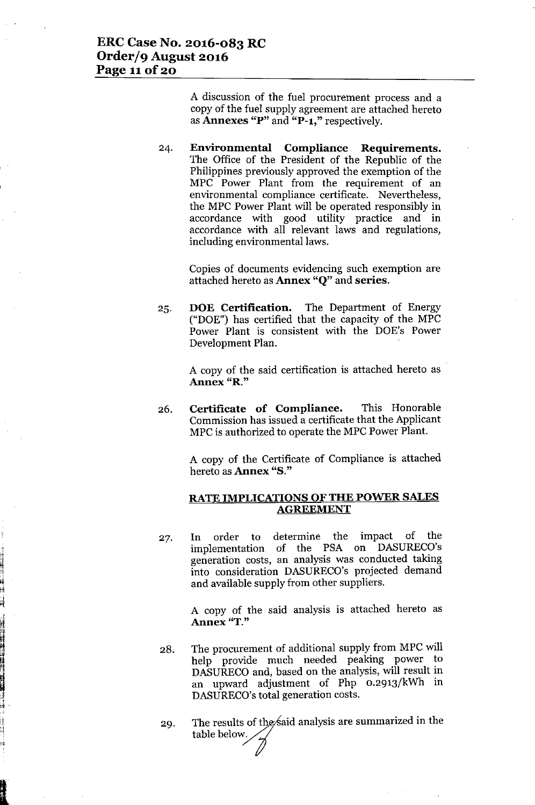I tl

n.<br>N

**International Contract of Contract of Contract of Contract of Contract of Contract of Contract of Contract of** 

I

JI ,.4 A discussion of the fuel procurement process and a copy of the fuel supply agreement are attached hereto as Annexes "P" and "P-l," respectively.

24. Environmental Compliance Requirements. The Office of the President of the Republic of the Philippines previously approved the exemption of the MPC Power Plant from the requirement of an environmental compliance certificate. Nevertheless, the MPC Power Plant will be operated responsibly in accordance with good utility practice and in accordance with all relevant laws and regulations, including environmental laws.

> Copies of documents evidencing such exemption are attached hereto as Annex "Q" and series.

25. DOE Certification. The Department of Energy ("DOE") has certified that the capacity of the MPC Power Plant is consistent with the DOE's Power Development Plan.

> A copy of the said certification is attached hereto as Annex "R."

26. Certificate of Compliance. This Honorable Commission has issued a certificate that the Applicant MPC is authorized to operate the MPC Power Plant.

> A copy of the Certificate of Compliance is attached hereto as Annex "S."

## RATE IMPLICATIONS OF THE POWER SALES **AGREEMENT**

27. In order to determine the impact of the implementation of the PSA on DASURECO's generation costs, an analysis was conducted taking into consideration DASURECO's projected demand and available supply from other suppliers.

> A copy of the said analysis is attached hereto as Annex "T."

- 28. The procurement of additional supply from MPC will help provide much needed peaking power to DASURECOand, based on the analysis, will result in an upward adjustment of Php 0.2913/kWh in DASURECO's total generation costs.
- 29. The results of the said analysis are summarized in the table below.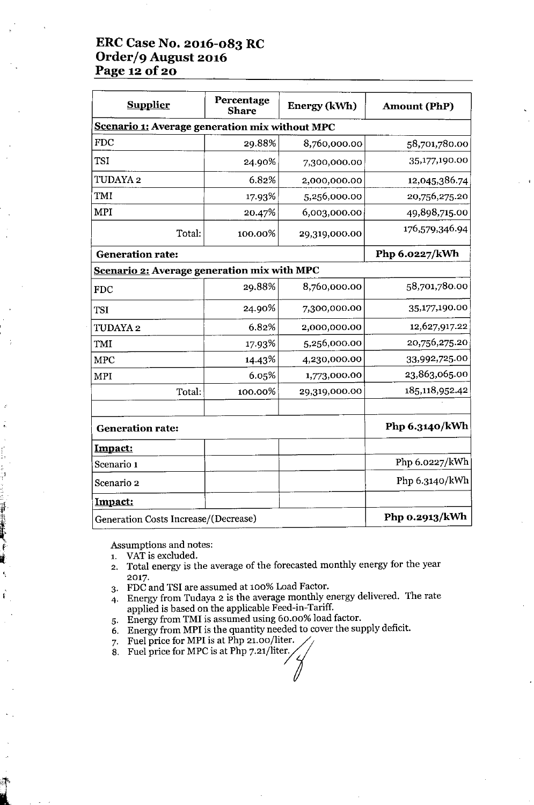# **ERC Case No. 2016-083 RC Order/9 August 2016 Page 120f20**

| <b>Supplier</b>                                | Percentage<br><b>Share</b> | <b>Energy (kWh)</b> | <b>Amount (PhP)</b> |
|------------------------------------------------|----------------------------|---------------------|---------------------|
| Scenario 1: Average generation mix without MPC |                            |                     |                     |
| <b>FDC</b>                                     | 29.88%                     | 8,760,000.00        | 58,701,780.00       |
| <b>TSI</b>                                     | 24.90%                     | 7,300,000.00        | 35,177,190.00       |
| TUDAYA 2                                       | 6.82%                      | 2,000,000.00        | 12,045,386.74       |
| <b>TMI</b>                                     | 17.93%                     | 5,256,000.00        | 20,756,275.20       |
| <b>MPI</b>                                     | 20.47%                     | 6,003,000.00        | 49,898,715.00       |
| Total:                                         | 100.00%                    | 29,319,000.00       | 176,579,346.94      |
| <b>Generation rate:</b>                        |                            |                     | Php 6.0227/kWh      |
| Scenario 2: Average generation mix with MPC    |                            |                     |                     |
| <b>FDC</b>                                     | 29.88%                     | 8,760,000.00        | 58,701,780.00       |
| <b>TSI</b>                                     | 24.90%                     | 7,300,000.00        | 35,177,190.00       |
| TUDAYA 2                                       | 6.82%                      | 2,000,000.00        | 12,627,917.22       |
| <b>TMI</b>                                     | 17.93%                     | 5,256,000.00        | 20,756,275.20       |
| <b>MPC</b>                                     | 14.43%                     | 4,230,000.00        | 33,992,725.00       |
| <b>MPI</b>                                     | 6.05%                      | 1,773,000.00        | 23,863,065.00       |
| Total:                                         | 100.00%                    | 29,319,000.00       | 185,118,952.42      |
| <b>Generation rate:</b>                        |                            |                     | Php 6.3140/kWh      |
| Impact:                                        |                            |                     |                     |
| Scenario 1                                     |                            |                     | Php 6.0227/kWh      |
| Scenario 2                                     |                            |                     | Php 6.3140/kWh      |
| <u>Impact:</u>                                 |                            |                     |                     |
| Generation Costs Increase/(Decrease)           |                            |                     | Php 0.2913/kWh      |

Assumptions and notes:

1. VAT is excluded.

"禅辞"

- 2. Total energy is the average of the forecasted monthly energy for the year 2017.
- 3. FDC and TSI are assumed at 100% Load Factor.
- 4. Energy from Tudaya 2 is the average monthly energy delivered. The rate applied is based on the applicable Feed-in-Tariff.
- 5. Energy from TMI is assumed using 60.00% load factor.
- 6. Energy from MPI is the quantity needed to cover the supply deficit.
- 7. Fuel price for MPI is at Php 21.00/liter. 6. Energy from MPI is the quantity needed t<br>7. Fuel price for MPI is at Php 21.00/liter.<br>8. Fuel price for MPC is at Php 7.21/liter.
-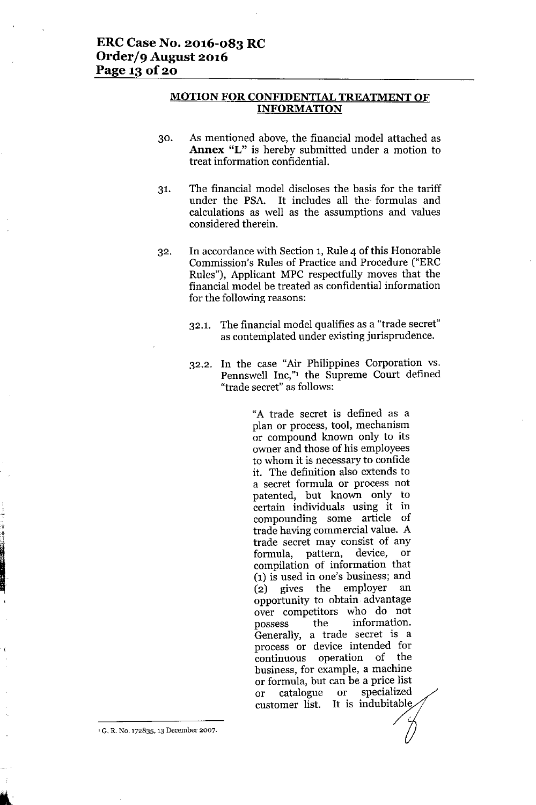#### **MOTION FOR CONFIDENTIAL TREATMENT OF INFORMATION**

- 30. As mentioned above, the financial model attached as **Annex** "L" is hereby submitted under a motion to treat information confidential.
- 31. The financial model discloses the basis for the tariff under the PSA. It includes all the formulas and calculations as well as the assumptions and values considered therein.
- 32. In accordance with Section 1, Rule 4 of this Honorable Commission's Rules of Practice and Procedure ("ERC Rules"), Applicant MPC respectfully moves that the financial model be treated as confidential information for the following reasons:
	- 32.1. The financial model qualifies as a "trade secret" as contemplated under existing jurisprudence.
	- 32.2. In the case "Air Philippines Corporation vs. Pennswell Inc,"1 the Supreme Court defined "trade secret" as follows:

"A trade secret is defined as a plan or process, tool, mechanism or compound known only to its owner and those of his employees to whom it is necessary to confide it. The definition also extends to a secret formula or process not patented, but known only to certain individuals using it in compounding some article of trade having commercial value. A trade secret may consist of any formula, pattern, device, or compilation of information that (1) is used in one's business; and (2) gives the employer an opportunity to obtain advantage over competitors who do not possess the information. Generally, a trade secret is a process or device intended for continuous operation of the business, for example, a machine or formula, but can be a price list or catalogue or specialized customer list. It is indubitable

**<sup>1</sup> G. R. No. 172835, 13 December 2007.**

I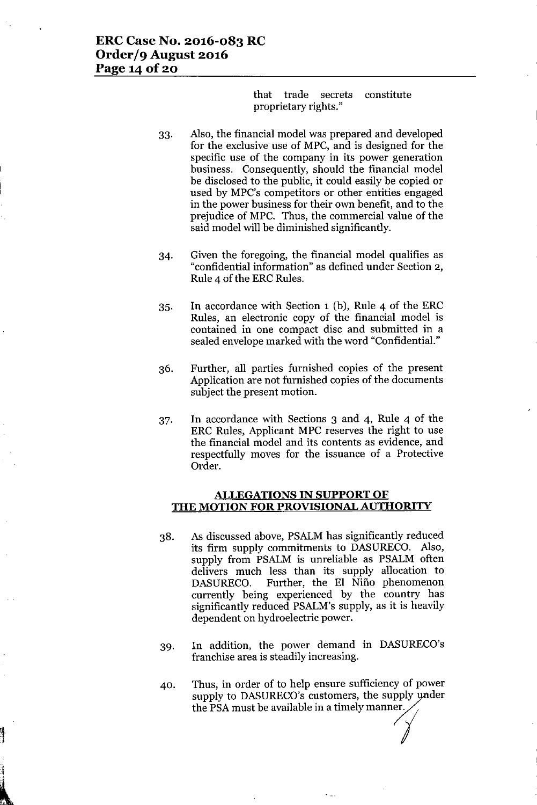that trade secrets constitute proprietary rights."

- 33. Also, the financial model was prepared and developed for the exclusive use of MPC, and is designed for the specific use of the company in its power generation business. Consequently, should the financial model be disclosed to the public, it could easily be copied or used by MPC's competitors or other entities engaged in the power business for their own benefit, and to the prejudice of MPC. Thus, the commercial value of the said model will be diminished significantly.
- 34. Given the foregoing, the financial model qualifies as "confidential information" as defined under Section 2, Rule 4 of the ERC Rules.
- 35. In accordance with Section 1 (b), Rule 4 of the ERC Rules, an electronic copy of the financial model is contained in one compact disc and submitted in a sealed envelope marked with the word "Confidential."
- 36. Further, all parties furnished copies of the present Application are not furnished copies of the documents subject the present motion.
- 37. In accordance with Sections 3 and 4, Rule 4 of the ERC Rules, Applicant MPC reserves the right to use the financial model and its contents as evidence, and respectfully moves for the issuance of a Protective Order.

#### ALLEGATIONS IN SUPPORT OF THE MOTION FOR PROVISIONAL AUTHORITY

- 38. As discussed above, PSALM has significantly reduced its firm supply commitments to DASURECO. Also, supply from PSALM is unreliable as PSALM often delivers much less than its supply allocation to DASURECO. Further, the El Niño phenomenon currently being experienced by the country has significantly reduced PSALM's supply, as it is heavily dependent on hydroelectric power.
- 39. In addition, the power demand in DASURECO's franchise area is steadily increasing.
- 40. Thus, in order of to help ensure sufficiency of power supply to DASURECO's customers, the supply under the PSA must be available in a timely manner.

 $\mathbf{r}$  $\ddot{\phantom{0}}$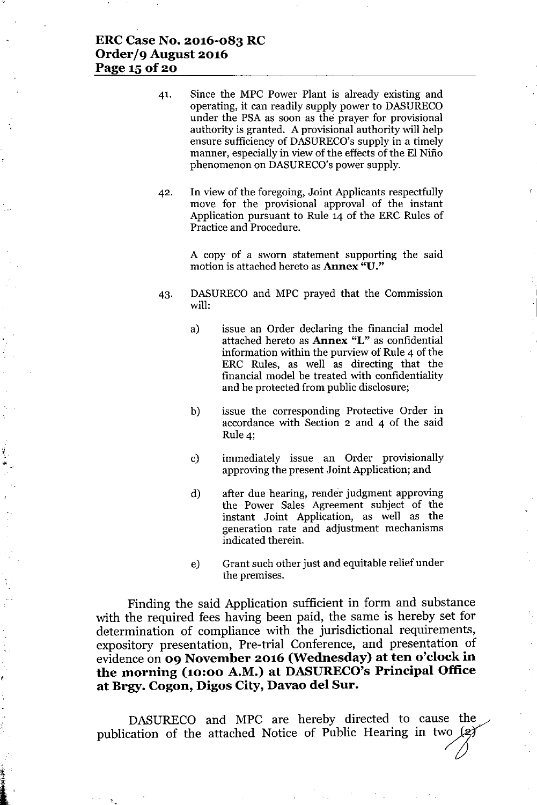# **ERCCase No. 2016-083 RC Order/9 August 2016 Page 150f2o**

- 41. Since the MPC Power Plant is already existing and operating, it can readily supply power to DASURECO under the PSA as soon as the prayer for provisional authority is granted. A provisional authority will help ensure sufficiency of DASURECO's supply in a timely manner, especially in view of the effects of the El Niño phenomenon on DASURECO's power supply.
- 42. In view of the foregoing, Joint Applicants respectfully move for the provisional approval of the instant Application pursuant to Rule 14 of the ERC Rules of Practice and Procedure.

A copy of a sworn statement supporting the said motion is attached hereto as Annex "D."

- 43. DASURECO and MPC prayed that the Commission will:
	- a) issue an Order declaring the financial model attached hereto as **Annex** "L" as confidential information within the purview of Rule 4 of the ERC Rules, as well as directing that the financial model be treated with confidentiality and be protected from public disclosure;
	- b) issue the corresponding Protective Order in accordance with Section 2 and 4 of the said Rule 4;
	- c) immediately issue. an Order provisionally approving the present Joint Application; and
	- d) after due hearing, render judgment approving the Power Sales Agreement subject of the instant Joint Application, as well as the generation rate and adjustment mechanisms indicated therein.
	- e) Grant such other just and equitable relief under the premises.

Finding the said Application sufficient in form and substance with the required fees having been paid, the same is hereby set for determination of compliance with the jurisdictional requirements, expository presentation, Pre-trial Conference, and presentation of evidence on **09 November 2016 (Wednesday) at ten o'clock in the morning (10:00 A.M.) at DASURECO'sPrincipal Office at Brgy. Cogon, Digos City, Davao del Sur.**

DASURECO and MPC are hereby directed to cause the publication of the attached Notice of Public Hearing in two  $\cancel{(2)}$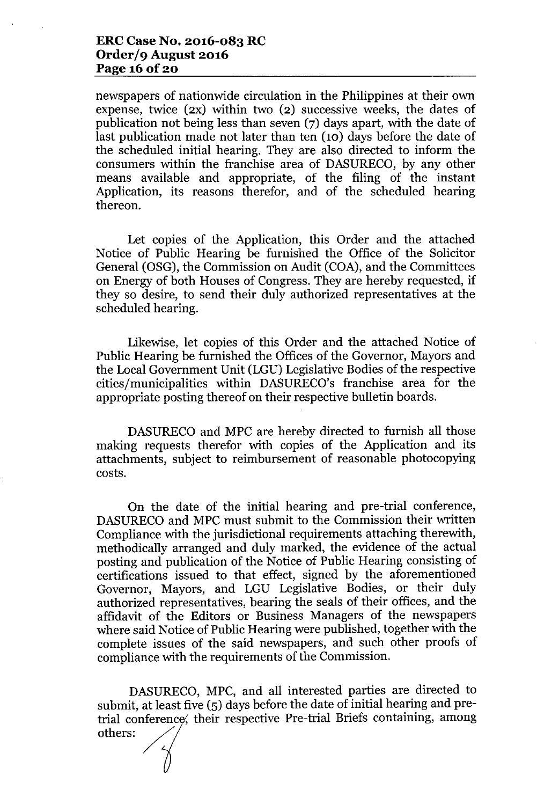# **ERCCase No. 2016-083 RC Order/9 August 2016 Page 16 Of20**

newspapers of nationwide circulation in the Philippines at their own expense, twice (2X) within two (2) successive weeks, the dates of publication not being less than seven (7) days apart, with the date of last publication made not later than ten (10) days before the date of the scheduled initial hearing. They are also directed to inform the consumers within the franchise area of DASURECO, by any other means available and appropriate, of the filing of the instant Application, its reasons therefor, and of the scheduled hearing thereon.

Let copies of the Application, this Order and the attached Notice of Public Hearing be furnished the Office of the Solicitor General (OSG), the Commission on Audit (COA), and the Committees on Energy of both Houses of Congress. They are hereby requested, if they so desire, to send their duly authorized representatives at the scheduled hearing.

Likewise, let copies of this Order and the attached Notice of Public Hearing be furnished the Offices of the Governor, Mayors and the Local Government Unit (LGU) Legislative Bodies of the respective cities/municipalities within DASURECO's franchise area for the appropriate posting thereof on their respective bulletin boards.

DASURECO and MPC are hereby directed to furnish all those making requests therefor with copies of the Application and its attachments, subject to reimbursement of reasonable photocopying costs.

On the date of the initial hearing and pre-trial conference, DASURECO and MPC must submit to the Commission their written Compliance with the jurisdictional requirements attaching therewith, methodically arranged and duly marked, the evidence of the actual posting and publication of the Notice of Public Hearing consisting of certifications issued to that effect, signed by the aforementioned Governor, Mayors, and LGU Legislative Bodies, or their duly authorized representatives, bearing the seals of their offices, and the affidavit of the Editors or Business Managers of the newspapers where said Notice of Public Hearing were published, together with the complete issues of the said newspapers, and such other proofs of compliance with the requirements of the Commission.

DASURECO, MPC, and all interested parties are directed to submit, at least five (5) days before the date of initial hearing and pretrial conference, their respective Pre-trial Briefs containing, among others: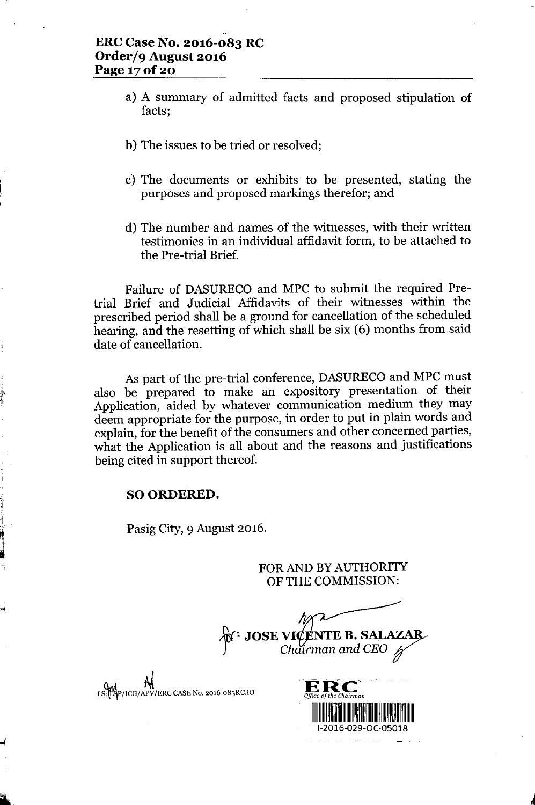- a) A summary of admitted facts and proposed stipulation of facts;
- b) The issues to be tried or resolved;
- c) The documents or exhibits to be presented, stating the purposes and proposed markings therefor; and
- d) The number and names of the witnesses, with their written testimonies in an individual affidavit form, to be attached to the Pre-trial Brief.

Failure of DASURECO and MPC to submit the required Pretrial Brief and Judicial Affidavits of their witnesses within the prescribed period shall be a ground for cancellation of the scheduled hearing, and the resetting of which shall be six (6) months from said date of cancellation.

As part of the pre-trial conference, DASURECO and MPC must also be prepared to make an expository presentation of their Application, aided by whatever communication medium they may deem appropriate for the purpose, in order to put in plain words and explain, for the benefit of the consumers and other concerned parties, what the Application is all about and the reasons and justifications being cited in support thereof.

# SO ORDERED.

 $\mathbf{r}$ *\t*

if

•••

Pasig City, 9 August 2016.

FOR AND BY AUTHORITY OF THE COMMISSION:

 $\overrightarrow{M}$  **JOSE VICENTE B. SALAZAR** 

LS: LAP/ICG/APV/ERC CASE No. 2016-083RC.IO

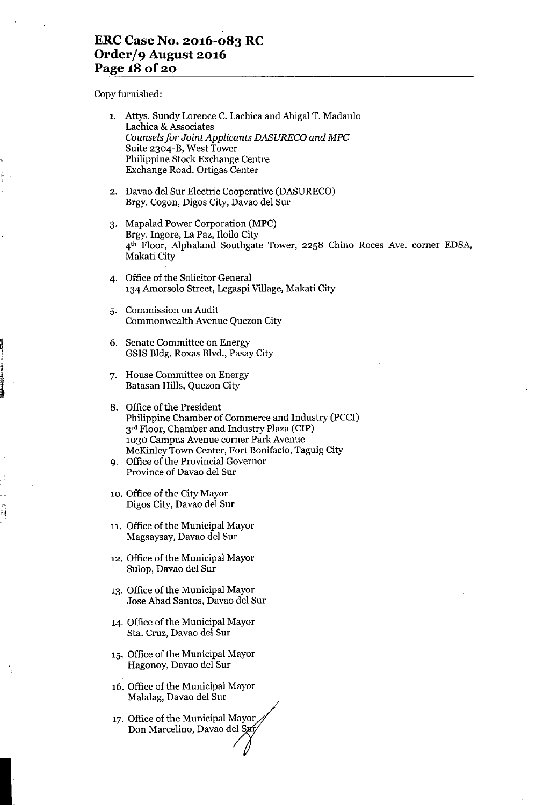# **ERC Case No. 2016-083 RC Order/9 August 2016 Page 18 Of20**

Copy furnished:

**1-**

浸渍

 $-1$ 

|    | 1. Attys. Sundy Lorence C. Lachica and Abigal T. Madanlo<br>Lachica & Associates<br>Counsels for Joint Applicants DASURECO and MPC<br>Suite 2304-B, West Tower<br>Philippine Stock Exchange Centre<br>Exchange Road, Ortigas Center                                                                            |
|----|----------------------------------------------------------------------------------------------------------------------------------------------------------------------------------------------------------------------------------------------------------------------------------------------------------------|
|    | 2. Davao del Sur Electric Cooperative (DASURECO)<br>Brgy. Cogon, Digos City, Davao del Sur                                                                                                                                                                                                                     |
| 3. | Mapalad Power Corporation (MPC)<br>Brgy. Ingore, La Paz, Iloilo City<br>4 <sup>th</sup> Floor, Alphaland Southgate Tower, 2258 Chino Roces Ave. corner EDSA,<br>Makati City                                                                                                                                    |
|    | 4. Office of the Solicitor General<br>134 Amorsolo Street, Legaspi Village, Makati City                                                                                                                                                                                                                        |
| 5. | Commission on Audit<br>Commonwealth Avenue Quezon City                                                                                                                                                                                                                                                         |
|    | 6. Senate Committee on Energy<br>GSIS Bldg. Roxas Blvd., Pasay City                                                                                                                                                                                                                                            |
|    | 7. House Committee on Energy<br>Batasan Hills, Quezon City                                                                                                                                                                                                                                                     |
|    | 8. Office of the President<br>Philippine Chamber of Commerce and Industry (PCCI)<br>3 <sup>rd</sup> Floor, Chamber and Industry Plaza (CIP)<br>1030 Campus Avenue corner Park Avenue<br>McKinley Town Center, Fort Bonifacio, Taguig City<br>9. Office of the Provincial Governor<br>Province of Davao del Sur |
|    | 10. Office of the City Mayor<br>Digos City, Davao del Sur                                                                                                                                                                                                                                                      |
|    | 11. Office of the Municipal Mayor<br>Magsaysay, Davao del Sur                                                                                                                                                                                                                                                  |
|    | 12. Office of the Municipal Mayor<br>Sulop, Davao del Sur                                                                                                                                                                                                                                                      |
|    | 13. Office of the Municipal Mayor<br>Jose Abad Santos, Davao del Sur                                                                                                                                                                                                                                           |
|    | 14. Office of the Municipal Mayor<br>Sta. Cruz, Davao del Sur                                                                                                                                                                                                                                                  |
|    | 15. Office of the Municipal Mayor<br>Hagonoy, Davao del Sur                                                                                                                                                                                                                                                    |
|    | 16. Office of the Municipal Mayor<br>Malalag, Davao del Sur                                                                                                                                                                                                                                                    |
|    | 17. Office of the Municipal Mayor<br>Don Marcelino, Davao del Sufy                                                                                                                                                                                                                                             |
|    |                                                                                                                                                                                                                                                                                                                |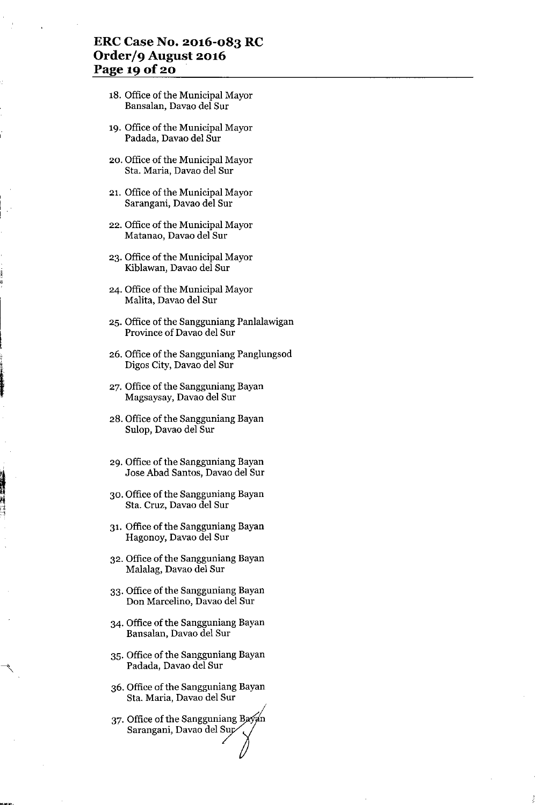# **ERC Case No. 2016-083 RC Order/9 August 2016 Page 19 Of20**

- 18. Office of the Municipal Mayor Bansalan, Davao del Sur
- 19. Office of the Municipal Mayor Padada, Davao del Sur
- 20. Office of the Municipal Mayor Sta. Maria, Davao del Sur
- 21. Office of the Municipal Mayor Sarangani, Davao del Sur
- 22. Office of the Municipal Mayor Matanao, Davao del Sur
- 23. Office of the Municipal Mayor Kiblawan, Davao del Sur
- 24. Office of the Municipal Mayor Malita, Davao del Sur
- 25. Office of the Sangguniang Panlalawigan Province of Davao del Sur
- 26. Office of the Sangguniang Panglungsod Digos City, Davao del Sur
- 27. Office of the Sangguniang Bayan Magsaysay, Davao del Sur
- 28. Office of the Sangguniang Bayan Sulop, Davao del Sur
- 29. Office of the Sangguniang Bayan Jose Abad Santos, Davao del Sur
- 30. Office of the Sangguniang Bayan Sta. Cruz, Davao del Sur
- 31. Office of the Sangguniang Bayan Hagonoy, Davao del Sur
- 32. Office of the Sangguniang Bayan Malalag, Davao del Sur
- 33. Office of the Sangguniang Bayan Don Marcelino, Davao del Sur
- 34. Office of the Sangguniang Bayan Bansalan, Davao del Sur
- 35. Office of the Sangguniang Bayan Padada, Davao del Sur
- 36. Office of the Sangguniang Bayan Sta. Maria, Davao del Sur
- 37. Office of the Sangguniang Bay<br>Sarangani, Davao del Sur